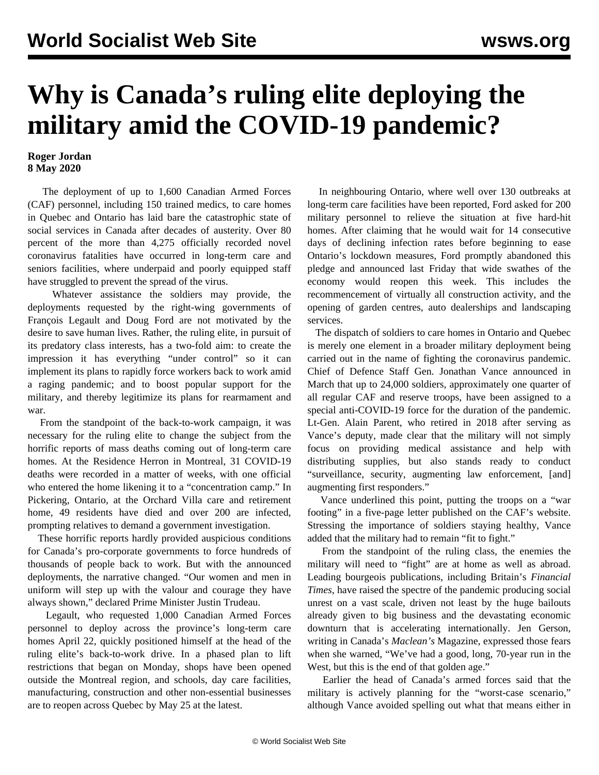## **Why is Canada's ruling elite deploying the military amid the COVID-19 pandemic?**

## **Roger Jordan 8 May 2020**

 The deployment of up to 1,600 Canadian Armed Forces (CAF) personnel, including 150 trained medics, to care homes in Quebec and Ontario has laid bare the catastrophic state of social services in Canada after decades of austerity. Over 80 percent of the more than 4,275 officially recorded novel coronavirus fatalities have occurred in long-term care and seniors facilities, where underpaid and poorly equipped staff have struggled to prevent the spread of the virus.

 Whatever assistance the soldiers may provide, the deployments requested by the right-wing governments of François Legault and Doug Ford are not motivated by the desire to save human lives. Rather, the ruling elite, in pursuit of its predatory class interests, has a two-fold aim: to create the impression it has everything "under control" so it can implement its plans to rapidly force workers back to work amid a raging pandemic; and to boost popular support for the military, and thereby legitimize its plans for rearmament and war.

 From the standpoint of the back-to-work campaign, it was necessary for the ruling elite to change the subject from the horrific reports of mass deaths coming out of long-term care homes. At the Residence Herron in Montreal, 31 COVID-19 deaths were recorded in a matter of weeks, with one official who entered the home likening it to a "concentration camp." In Pickering, Ontario, at the Orchard Villa care and retirement home, 49 residents have died and over 200 are infected, prompting relatives to demand a government investigation.

 These horrific reports hardly provided auspicious conditions for Canada's pro-corporate governments to force hundreds of thousands of people back to work. But with the announced deployments, the narrative changed. "Our women and men in uniform will step up with the valour and courage they have always shown," declared Prime Minister Justin Trudeau.

 Legault, who requested 1,000 Canadian Armed Forces personnel to deploy across the province's long-term care homes April 22, quickly positioned himself at the head of the ruling elite's back-to-work drive. In a phased plan to lift restrictions that began on Monday, shops have been opened outside the Montreal region, and schools, day care facilities, manufacturing, construction and other non-essential businesses are to reopen across Quebec by May 25 at the latest.

 In neighbouring Ontario, where well over 130 outbreaks at long-term care facilities have been reported, Ford asked for 200 military personnel to relieve the situation at five hard-hit homes. After claiming that he would wait for 14 consecutive days of declining infection rates before beginning to ease Ontario's lockdown measures, Ford promptly abandoned this pledge and announced last Friday that wide swathes of the economy would reopen this week. This includes the recommencement of virtually all construction activity, and the opening of garden centres, auto dealerships and landscaping services.

 The dispatch of soldiers to care homes in Ontario and Quebec is merely one element in a broader military deployment being carried out in the name of fighting the coronavirus pandemic. Chief of Defence Staff Gen. Jonathan Vance announced in March that up to 24,000 soldiers, approximately one quarter of all regular CAF and reserve troops, have been assigned to a special anti-COVID-19 force for the duration of the pandemic. Lt-Gen. Alain Parent, who retired in 2018 after serving as Vance's deputy, made clear that the military will not simply focus on providing medical assistance and help with distributing supplies, but also stands ready to conduct "surveillance, security, augmenting law enforcement, [and] augmenting first responders."

 Vance underlined this point, putting the troops on a "war footing" in a five-page letter published on the CAF's website. Stressing the importance of soldiers staying healthy, Vance added that the military had to remain "fit to fight."

 From the standpoint of the ruling class, the enemies the military will need to "fight" are at home as well as abroad. Leading bourgeois publications, including Britain's *Financial Times*, have raised the spectre of the pandemic producing social unrest on a vast scale, driven not least by the huge bailouts already given to big business and the devastating economic downturn that is accelerating internationally. Jen Gerson, writing in Canada's *Maclean's* Magazine, expressed those fears when she warned, "We've had a good, long, 70-year run in the West, but this is the end of that golden age."

 Earlier the head of Canada's armed forces said that the military is actively planning for the "worst-case scenario," although Vance avoided spelling out what that means either in